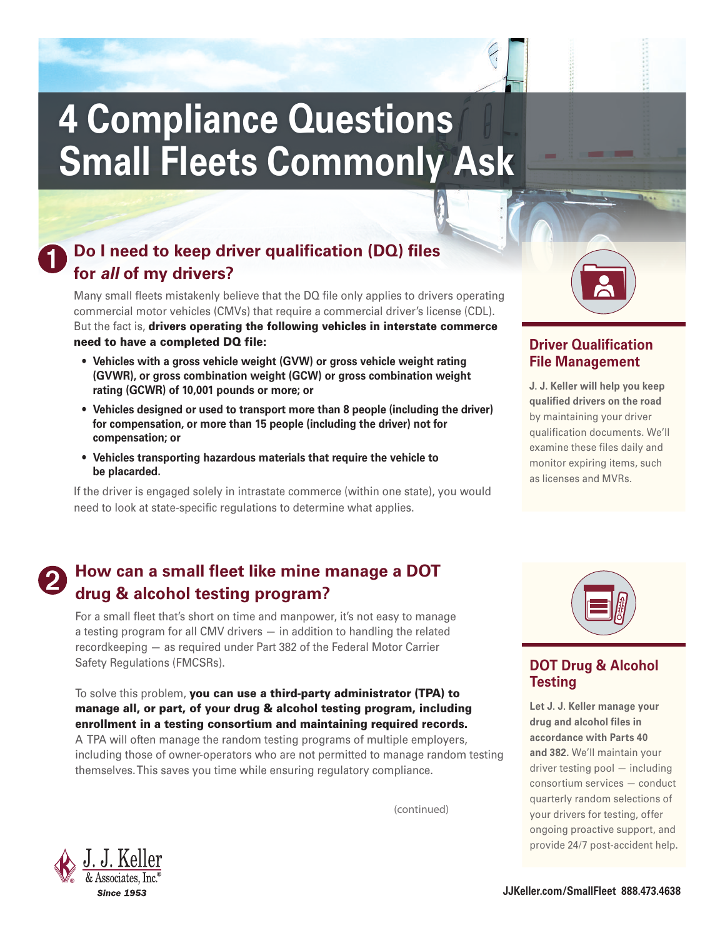# **4 Compliance Questions Small Fleets Commonly Ask**

# **Do I need to keep driver qualification (DQ) files for all of my drivers?**

Many small fleets mistakenly believe that the DQ file only applies to drivers operating commercial motor vehicles (CMVs) that require a commercial driver's license (CDL). But the fact is, drivers operating the following vehicles in interstate commerce

need to have a completed DQ file:

- **Vehicles with a gross vehicle weight (GVW) or gross vehicle weight rating (GVWR), or gross combination weight (GCW) or gross combination weight rating (GCWR) of 10,001 pounds or more; or**
- **Vehicles designed or used to transport more than 8 people (including the driver) for compensation, or more than 15 people (including the driver) not for compensation; or**
- **Vehicles transporting hazardous materials that require the vehicle to be placarded.**

If the driver is engaged solely in intrastate commerce (within one state), you would need to look at state-specific regulations to determine what applies.

# **Driver Qualification File Management**

by maintaining your driver<br>qualification documents. W **J. J. Keller will help you keep qualified drivers on the road** qualification documents. We'll examine these files daily and monitor expiring items, such as licenses and MVRs.

# **How can a small fleet like mine manage a DOT drug & alcohol testing program?**

For a small fleet that's short on time and manpower, it's not easy to manage a testing program for all CMV drivers — in addition to handling the related recordkeeping — as required under Part 382 of the Federal Motor Carrier Safety Regulations (FMCSRs).

To solve this problem, you can use a third-party administrator (TPA) to manage all, or part, of your drug & alcohol testing program, including enrollment in a testing consortium and maintaining required records.

A TPA will often manage the random testing programs of multiple employers, including those of owner-operators who are not permitted to manage random testing themselves. This saves you time while ensuring regulatory compliance.

(continued)



# DOT Drug & Alcohol<br><sup>Testing</sup> **Testing**

**Let J. J. Keller manage your drug and alcohol files in accordance with Parts 40 and 382.** We'll maintain your driver testing pool — including consortium services — conduct quarterly random selections of your drivers for testing, offer ongoing proactive support, and provide 24/7 post-accident help.